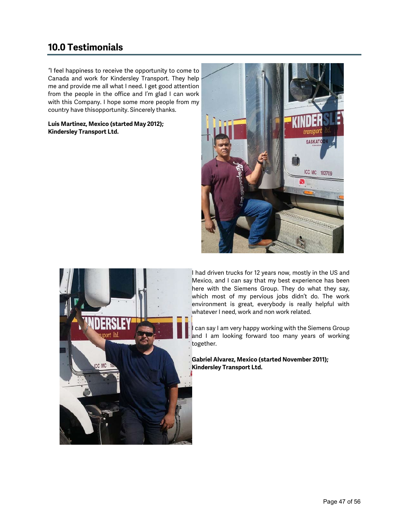# **10.0 Testimonials**

*"*I feel happiness to receive the opportunity to come to Canada and work for Kindersley Transport. They help me and provide me all what I need. I get good attention from the people in the office and I'm glad I can work with this Company. I hope some more people from my country have thisopportunity. Sincerely thanks.

# **Luis Martinez, Mexico (started May 2012); Kindersley Transport Ltd.**





I had driven trucks for 12 years now, mostly in the US and Mexico, and I can say that my best experience has been here with the Siemens Group. They do what they say, which most of my pervious jobs didn't do. The work environment is great, everybody is really helpful with whatever I need, work and non work related.

can say I am very happy working with the Siemens Group and I am looking forward too many years of working together.

**Gabriel Alvarez, Mexico (started November 2011); Kindersley Transport Ltd.**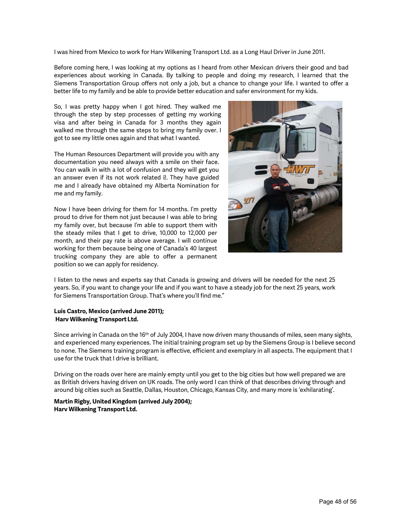I was hired from Mexico to work for Harv Wilkening Transport Ltd. as a Long Haul Driver in June 2011.

Before coming here, I was looking at my options as I heard from other Mexican drivers their good and bad experiences about working in Canada. By talking to people and doing my research, I learned that the Siemens Transportation Group offers not only a job, but a chance to change your life. I wanted to offer a better life to my family and be able to provide better education and safer environment for my kids.

So, I was pretty happy when I got hired. They walked me through the step by step processes of getting my working visa and after being in Canada for 3 months they again walked me through the same steps to bring my family over. I got to see my little ones again and that what I wanted.

The Human Resources Department will provide you with any documentation you need always with a smile on their face. You can walk in with a lot of confusion and they will get you an answer even if its not work related . They have guided me and I already have obtained my Alberta Nomination for me and my family.

Now I have been driving for them for 14 months. I'm pretty proud to drive for them not just because I was able to bring my family over, but because I'm able to support them with the steady miles that I get to drive, 10,000 to 12,000 per month, and their pay rate is above average. I will continue working for them because being one of Canada's 40 largest trucking company they are able to offer a permanent position so we can apply for residency.



I listen to the news and experts say that Canada is growing and drivers will be needed for the next 25 years. So, if you want to change your life and if you want to have a steady job for the next 25 years, work for Siemens Transportation Group. That's where you'll find me."

# **Luis Castro, Mexico (arrived June 2011); Harv Wilkening Transport Ltd.**

Since arriving in Canada on the 16<sup>th</sup> of July 2004, I have now driven many thousands of miles, seen many sights, and experienced many experiences. The initial training program set up by the Siemens Group is I believe second to none. The Siemens training program is effective, efficient and exemplary in all aspects. The equipment that I use for the truck that I drive is brilliant.

Driving on the roads over here are mainly empty until you get to the big cities but how well prepared we are as British drivers having driven on UK roads. The only word I can think of that describes driving through and around big cities such as Seattle, Dallas, Houston, Chicago, Kansas City, and many more is 'exhilarating'.

# **Martin Rigby, United Kingdom (arrived July 2004); Harv Wilkening Transport Ltd.**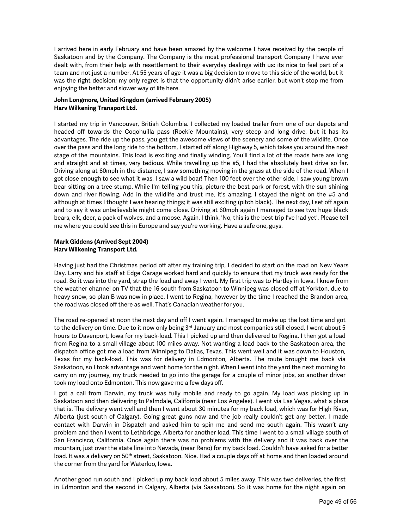I arrived here in early February and have been amazed by the welcome I have received by the people of Saskatoon and by the Company. The Company is the most professional transport Company I have ever dealt with, from their help with resettlement to their everyday dealings with us: its nice to feel part of a team and not just a number. At 55 years of age it was a big decision to move to this side of the world, but it was the right decision; my only regret is that the opportunity didn't arise earlier, but won't stop me from enjoying the better and slower way of life here.

# **John Longmore, United Kingdom (arrived February 2005) Harv Wilkening Transport Ltd.**

I started my trip in Vancouver, British Columbia. I collected my loaded trailer from one of our depots and headed off towards the Coqohuilla pass (Rockie Mountains), very steep and long drive, but it has its advantages. The ride up the pass, you get the awesome views of the scenery and some of the wildlife. Once over the pass and the long ride to the bottom, I started off along Highway 5, which takes you around the next stage of the mountains. This load is exciting and finally winding. You'll find a lot of the roads here are long and straight and at times, very tedious. While travelling up the #5, I had the absolutely best drive so far. Driving along at 60mph in the distance, I saw something moving in the grass at the side of the road. When I got close enough to see what it was, I saw a wild boar! Then 100 feet over the other side, I saw young brown bear sitting on a tree stump. While I'm telling you this, picture the best park or forest, with the sun shining down and river flowing. Add in the wildlife and trust me, it's amazing. I stayed the night on the #5 and although at times I thought I was hearing things; it was still exciting (pitch black). The next day, I set off again and to say it was unbelievable might come close. Driving at 60mph again I managed to see two huge black bears, elk, deer, a pack of wolves, and a moose. Again, I think, 'No, this is the best trip I've had yet'. Please tell me where you could see this in Europe and say you're working. Have a safe one, guys.

# **Mark Giddens (Arrived Sept 2004) Harv Wilkening Transport Ltd.**

Having just had the Christmas period off after my training trip, I decided to start on the road on New Years Day. Larry and his staff at Edge Garage worked hard and quickly to ensure that my truck was ready for the road. So it was into the yard, strap the load and away I went. My first trip was to Hartley in Iowa. I knew from the weather channel on TV that the 16 south from Saskatoon to Winnipeg was closed off at Yorkton, due to heavy snow, so plan B was now in place. I went to Regina, however by the time I reached the Brandon area, the road was closed off there as well. That's Canadian weather for you.

The road re-opened at noon the next day and off I went again. I managed to make up the lost time and got to the delivery on time. Due to it now only being 3<sup>rd</sup> January and most companies still closed, I went about 5 hours to Davenport, Iowa for my back-load. This I picked up and then delivered to Regina. I then got a load from Regina to a small village about 100 miles away. Not wanting a load back to the Saskatoon area, the dispatch office got me a load from Winnipeg to Dallas, Texas. This went well and it was down to Houston, Texas for my back-load. This was for delivery in Edmonton, Alberta. The route brought me back via Saskatoon, so I took advantage and went home for the night. When I went into the yard the next morning to carry on my journey, my truck needed to go into the garage for a couple of minor jobs, so another driver took my load onto Edmonton. This now gave me a few days off.

I got a call from Darwin, my truck was fully mobile and ready to go again. My load was picking up in Saskatoon and then delivering to Palmdale, California (near Los Angeles). I went via Las Vegas, what a place that is. The delivery went well and then I went about 30 minutes for my back load, which was for High River, Alberta (just south of Calgary). Going great guns now and the job really couldn't get any better. I made contact with Darwin in Dispatch and asked him to spin me and send me south again. This wasn't any problem and then I went to Lethbridge, Alberta for another load. This time I went to a small village south of San Francisco, California. Once again there was no problems with the delivery and it was back over the mountain, just over the state line into Nevada, (near Reno) for my back load. Couldn't have asked for a better load. It was a delivery on 50<sup>th</sup> street, Saskatoon. Nice. Had a couple days off at home and then loaded around the corner from the yard for Waterloo, Iowa.

Another good run south and I picked up my back load about 5 miles away. This was two deliveries, the first in Edmonton and the second in Calgary, Alberta (via Saskatoon). So it was home for the night again on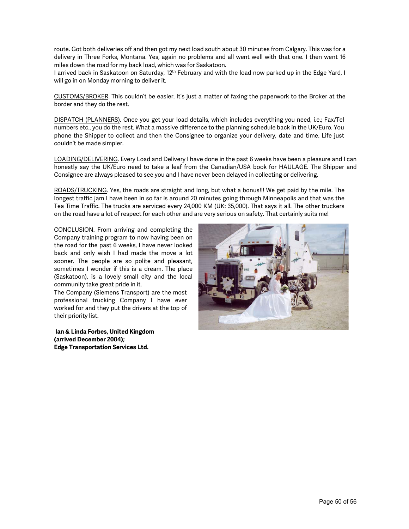route. Got both deliveries off and then got my next load south about 30 minutes from Calgary. This was for a delivery in Three Forks, Montana. Yes, again no problems and all went well with that one. I then went 16 miles down the road for my back load, which was for Saskatoon.

I arrived back in Saskatoon on Saturday, 12<sup>th</sup> February and with the load now parked up in the Edge Yard, I will go in on Monday morning to deliver it.

CUSTOMS/BROKER. This couldn't be easier. It's just a matter of faxing the paperwork to the Broker at the border and they do the rest.

DISPATCH (PLANNERS). Once you get your load details, which includes everything you need, i.e.; Fax/Tel numbers etc., you do the rest. What a massive difference to the planning schedule back in the UK/Euro. You phone the Shipper to collect and then the Consignee to organize your delivery, date and time. Life just couldn't be made simpler.

LOADING/DELIVERING. Every Load and Delivery I have done in the past 6 weeks have been a pleasure and I can honestly say the UK/Euro need to take a leaf from the Canadian/USA book for HAULAGE. The Shipper and Consignee are always pleased to see you and I have never been delayed in collecting or delivering.

ROADS/TRUCKING. Yes, the roads are straight and long, but what a bonus!!! We get paid by the mile. The longest traffic jam I have been in so far is around 20 minutes going through Minneapolis and that was the Tea Time Traffic. The trucks are serviced every 24,000 KM (UK: 35,000). That says it all. The other truckers on the road have a lot of respect for each other and are very serious on safety. That certainly suits me!

CONCLUSION. From arriving and completing the Company training program to now having been on the road for the past 6 weeks, I have never looked back and only wish I had made the move a lot sooner. The people are so polite and pleasant, sometimes I wonder if this is a dream. The place (Saskatoon), is a lovely small city and the local community take great pride in it.

The Company (Siemens Transport) are the most professional trucking Company I have ever worked for and they put the drivers at the top of their priority list.

**Ian & Linda Forbes, United Kingdom (arrived December 2004); Edge Transportation Services Ltd.**

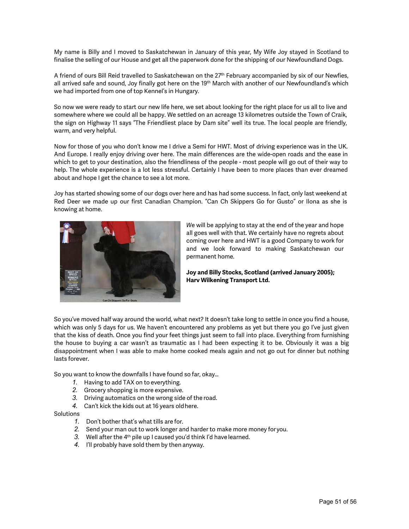My name is Billy and I moved to Saskatchewan in January of this year, My Wife Joy stayed in Scotland to finalise the selling of our House and get all the paperwork done for the shipping of our Newfoundland Dogs.

A friend of ours Bill Reid travelled to Saskatchewan on the 27<sup>th</sup> February accompanied by six of our Newfies, all arrived safe and sound, Joy finally got here on the 19<sup>th</sup> March with another of our Newfoundland's which we had imported from one of top Kennel's in Hungary.

So now we were ready to start our new life here, we set about looking for the right place for us all to live and somewhere where we could all be happy. We settled on an acreage 13 kilometres outside the Town of Craik, the sign on Highway 11 says "The Friendliest place by Dam site" well its true. The local people are friendly, warm, and very helpful.

Now for those of you who don't know me I drive a Semi for HWT. Most of driving experience was in the UK. And Europe. I really enjoy driving over here. The main differences are the wide-open roads and the ease in which to get to your destination, also the friendliness of the people - most people will go out of their way to help. The whole experience is a lot less stressful. Certainly I have been to more places than ever dreamed about and hope I get the chance to see a lot more.

Joy has started showing some of our dogs over here and has had some success. In fact, only last weekend at Red Deer we made up our first Canadian Champion. "Can Ch Skippers Go for Gusto" or Ilona as she is knowing at home.



*W*e will be applying to stay at the end of the year and hope all goes well with that. We certainly have no regrets about coming over here and HWT is a good Company to work for and we look forward to making Saskatchewan our permanent home.

# **Joy and Billy Stocks, Scotland (arrived January 2005); Harv Wilkening Transport Ltd.**

So you've moved half way around the world, what next? It doesn't take long to settle in once you find a house, which was only 5 days for us. We haven't encountered any problems as yet but there you go I've just given that the kiss of death. Once you find your feet things just seem to fall into place. Everything from furnishing the house to buying a car wasn't as traumatic as I had been expecting it to be. Obviously it was a big disappointment when I was able to make home cooked meals again and not go out for dinner but nothing lasts forever.

So you want to know the downfalls I have found so far, okay…

- *1.* Having to add TAX on to everything.
- *2.* Grocery shopping is more expensive.
- *3.* Driving automatics on the wrong side of the road.
- *4.* Can't kick the kids out at 16 years oldhere.

# Solutions

- *1.* Don't bother that's what tills are for.
- *2.* Send your man out to work longer and harder to make more money for you.
- 3. Well after the 4<sup>th</sup> pile up I caused you'd think I'd have learned.
- *4.* I'll probably have sold them by then anyway.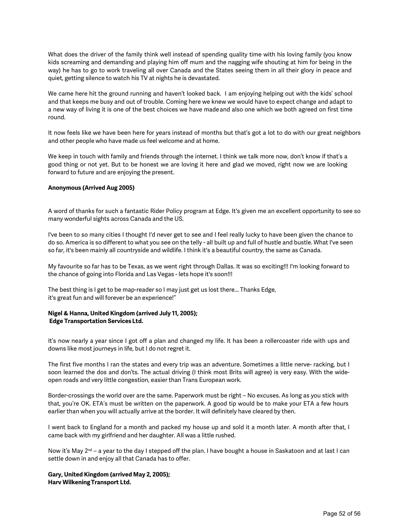What does the driver of the family think well instead of spending quality time with his loving family (you know kids screaming and demanding and playing him off mum and the nagging wife shouting at him for being in the way) he has to go to work traveling all over Canada and the States seeing them in all their glory in peace and quiet, getting silence to watch his TV at nights he is devastated.

We came here hit the ground running and haven't looked back. I am enjoying helping out with the kids' school and that keeps me busy and out of trouble. Coming here we knew we would have to expect change and adapt to a new way of living it is one of the best choices we have madeand also one which we both agreed on first time round.

It now feels like we have been here for years instead of months but that's got a lot to do with our great neighbors and other people who have made us feel welcome and at home.

We keep in touch with family and friends through the internet. I think we talk more now, don't know if that's a good thing or not yet. But to be honest we are loving it here and glad we moved, right now we are looking forward to future and are enjoying the present.

## **Anonymous (Arrived Aug 2005)**

A word of thanks for such a fantastic Rider Policy program at Edge. It's given me an excellent opportunity to see so many wonderful sights across Canada and the US.

I've been to so many cities I thought I'd never get to see and I feel really lucky to have been given the chance to do so. America is so different to what you see on the telly - all built up and full of hustle and bustle. What I've seen so far, it's been mainly all countryside and wildlife. I think it's a beautiful country, the same as Canada.

My favourite so far has to be Texas, as we went right through Dallas. It was so exciting!!! I'm looking forward to the chance of going into Florida and Las Vegas - lets hope it's soon!!!

The best thing is I get to be map-reader so I may just get us lost there... Thanks Edge, it's great fun and will forever be an experience!"

## **Nigel & Hanna, United Kingdom (arrived July 11, 2005); Edge Transportation Services Ltd.**

It's now nearly a year since I got off a plan and changed my life. It has been a rollercoaster ride with ups and downs like most journeys in life, but I do not regret it.

The first five months I ran the states and every trip was an adventure. Sometimes a little nerve- racking, but I soon learned the dos and don'ts. The actual driving (I think most Brits will agree) is very easy. With the wideopen roads and very little congestion, easier than Trans European work.

Border-crossings the world over are the same. Paperwork must be right – No excuses. As long as you stick with that, you're OK. ETA's must be written on the paperwork. A good tip would be to make your ETA a few hours earlier than when you will actually arrive at the border. It will definitely have cleared by then.

I went back to England for a month and packed my house up and sold it a month later. A month after that, I came back with my girlfriend and her daughter. All was a little rushed.

Now it's May 2<sup>nd</sup> – a year to the day I stepped off the plan. I have bought a house in Saskatoon and at last I can settle down in and enjoy all that Canada has to offer.

## **Gary, United Kingdom (arrived May 2, 2005); Harv WilkeningTransport Ltd.**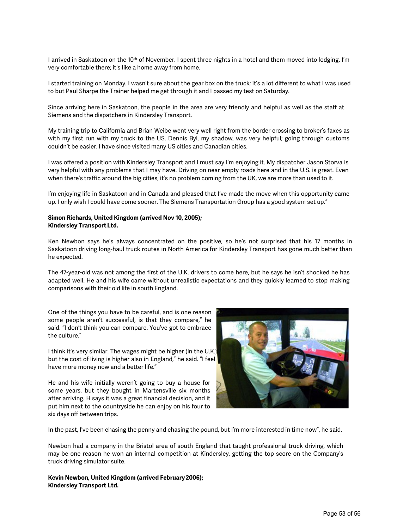I arrived in Saskatoon on the 10<sup>th</sup> of November. I spent three nights in a hotel and them moved into lodging. I'm very comfortable there; it's like a home away from home.

I started training on Monday. I wasn't sure about the gear box on the truck; it's a lot different to what I was used to but Paul Sharpe the Trainer helped me get through it and I passed my test on Saturday.

Since arriving here in Saskatoon, the people in the area are very friendly and helpful as well as the staff at Siemens and the dispatchers in Kindersley Transport.

My training trip to California and Brian Weibe went very well right from the border crossing to broker's faxes as with my first run with my truck to the US. Dennis Byl, my shadow, was very helpful; going through customs couldn't be easier. I have since visited many US cities and Canadian cities.

I was offered a position with Kindersley Transport and I must say I'm enjoying it. My dispatcher Jason Storva is very helpful with any problems that I may have. Driving on near empty roads here and in the U.S. is great. Even when there's traffic around the big cities, it's no problem coming from the UK, we are more than used to it.

I'm enjoying life in Saskatoon and in Canada and pleased that I've made the move when this opportunity came up. I only wish I could have come sooner. The Siemens Transportation Group has a good system set up."

## **Simon Richards, United Kingdom (arrived Nov 10, 2005); Kindersley TransportLtd.**

Ken Newbon says he's always concentrated on the positive, so he's not surprised that his 17 months in Saskatoon driving long-haul truck routes in North America for Kindersley Transport has gone much better than he expected.

The 47-year-old was not among the first of the U.K. drivers to come here, but he says he isn't shocked he has adapted well. He and his wife came without unrealistic expectations and they quickly learned to stop making comparisons with their old life in south England.

One of the things you have to be careful, and is one reason some people aren't successful, is that they compare," he said. "I don't think you can compare. You've got to embrace the culture."

I think it's very similar. The wages might be higher (in the U.K.) but the cost of living is higher also in England," he said. "I feel have more money now and a better life."

He and his wife initially weren't going to buy a house for some years, but they bought in Martensville six months after arriving. H says it was a great financial decision, and it put him next to the countryside he can enjoy on his four to six days off between trips.



In the past, I've been chasing the penny and chasing the pound, but I'm more interested in time now", he said.

Newbon had a company in the Bristol area of south England that taught professional truck driving, which may be one reason he won an internal competition at Kindersley, getting the top score on the Company's truck driving simulator suite.

**Kevin Newbon, United Kingdom (arrived February 2006); Kindersley Transport Ltd.**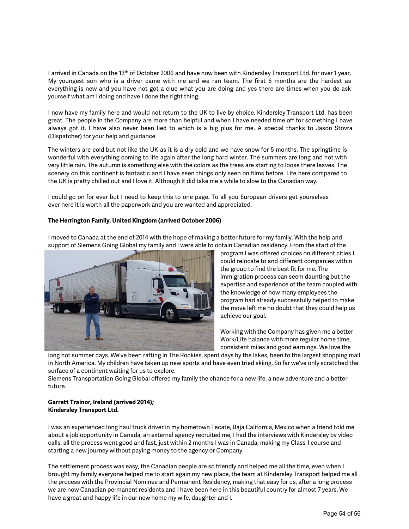I arrived in Canada on the 13<sup>th</sup> of October 2006 and have now been with Kindersley Transport Ltd. for over 1 year. My youngest son who is a driver came with me and we ran team. The first 6 months are the hardest as everything is new and you have not got a clue what you are doing and yes there are times when you do ask yourself what am I doing and have I done the right thing.

I now have my family here and would not return to the UK to live by choice. Kindersley Transport Ltd. has been great. The people in the Company are more than helpful and when I have needed time off for something I have always got it. I have also never been lied to which is a big plus for me. A special thanks to Jason Stovra (Dispatcher) for your help and guidance.

The winters are cold but not like the UK as it is a dry cold and we have snow for 5 months. The springtime is wonderful with everything coming to life again after the long hard winter. The summers are long and hot with very little rain. The autumn is something else with the colors as the trees are starting to loose there leaves. The scenery on this continent is fantastic and I have seen things only seen on films before. Life here compared to the UK is pretty chilled out and I love it. Although it did take me a while to slow to the Canadian way.

I could go on for ever but I need to keep this to one page. To all you European drivers get yourselves over here it is worth all the paperwork and you are wanted and appreciated.

# **The Herrington Family, United Kingdom (arrived October 2006)**

I moved to Canada at the end of 2014 with the hope of making a better future for my family. With the help and support of Siemens Going Global my family and I were able to obtain Canadian residency. From the start of the



program I was offered choices on different cities I could relocate to and different companies within the group to find the best fit for me. The immigration process can seem daunting but the expertise and experience of the team coupled with the knowledge of how many employees the program had already successfully helped to make the move left me no doubt that they could help us achieve our goal.

Working with the Company has given me a better Work/Life balance with more regular home time, consistent miles and good earnings. We love the

long hot summer days. We've been rafting in The Rockies, spent days by the lakes, been to the largest shopping mall in North America. My children have taken up new sports and have even tried skiing. So far we've only scratched the surface of a continent waiting for us to explore.

Siemens Transportation Going Global offered my family the chance for a new life, a new adventure and a better future.

# **Garrett Trainor, Ireland (arrived 2014); Kindersley Transport Ltd.**

I was an experienced long haul truck driver in my hometown Tecate, Baja California, Mexico when a friend told me about a job opportunity in Canada, an external agency recruited me, I had the interviews with Kindersley by video calls, all the process went good and fast, just within 2 months I was in Canada, making my Class 1 course and starting a new journey without paying money to the agency or Company.

The settlement process was easy, the Canadian people are so friendly and helped me all the time, even when I brought my family everyone helped me to start again my new place, the team at Kindersley Transport helped me all the process with the Provincial Nominee and Permanent Residency, making that easy for us, after a long process we are now Canadian permanent residents and I have been here in this beautiful country for almost 7 years. We have a great and happy life in our new home my wife, daughter and I.